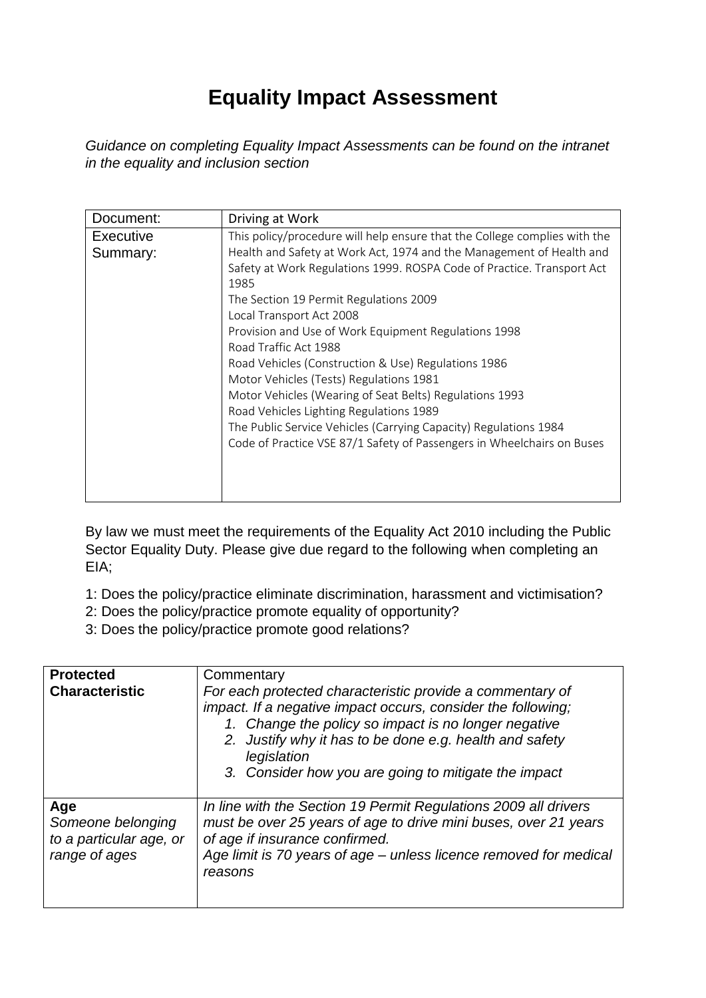## **Equality Impact Assessment**

*Guidance on completing Equality Impact Assessments can be found on the intranet in the equality and inclusion section* 

| Document:                    | Driving at Work                                                                                                                                                                                                                                                                                                                                                                                                                     |
|------------------------------|-------------------------------------------------------------------------------------------------------------------------------------------------------------------------------------------------------------------------------------------------------------------------------------------------------------------------------------------------------------------------------------------------------------------------------------|
| <b>Executive</b><br>Summary: | This policy/procedure will help ensure that the College complies with the<br>Health and Safety at Work Act, 1974 and the Management of Health and<br>Safety at Work Regulations 1999. ROSPA Code of Practice. Transport Act<br>1985<br>The Section 19 Permit Regulations 2009<br>Local Transport Act 2008                                                                                                                           |
|                              | Provision and Use of Work Equipment Regulations 1998<br>Road Traffic Act 1988<br>Road Vehicles (Construction & Use) Regulations 1986<br>Motor Vehicles (Tests) Regulations 1981<br>Motor Vehicles (Wearing of Seat Belts) Regulations 1993<br>Road Vehicles Lighting Regulations 1989<br>The Public Service Vehicles (Carrying Capacity) Regulations 1984<br>Code of Practice VSE 87/1 Safety of Passengers in Wheelchairs on Buses |

By law we must meet the requirements of the Equality Act 2010 including the Public Sector Equality Duty. Please give due regard to the following when completing an EIA;

1: Does the policy/practice eliminate discrimination, harassment and victimisation?

- 2: Does the policy/practice promote equality of opportunity?
- 3: Does the policy/practice promote good relations?

| <b>Protected</b><br><b>Characteristic</b>                            | Commentary<br>For each protected characteristic provide a commentary of<br>impact. If a negative impact occurs, consider the following;<br>1. Change the policy so impact is no longer negative<br>2. Justify why it has to be done e.g. health and safety<br>legislation<br>3. Consider how you are going to mitigate the impact |
|----------------------------------------------------------------------|-----------------------------------------------------------------------------------------------------------------------------------------------------------------------------------------------------------------------------------------------------------------------------------------------------------------------------------|
| Age<br>Someone belonging<br>to a particular age, or<br>range of ages | In line with the Section 19 Permit Regulations 2009 all drivers<br>must be over 25 years of age to drive mini buses, over 21 years<br>of age if insurance confirmed.<br>Age limit is 70 years of age – unless licence removed for medical<br>reasons                                                                              |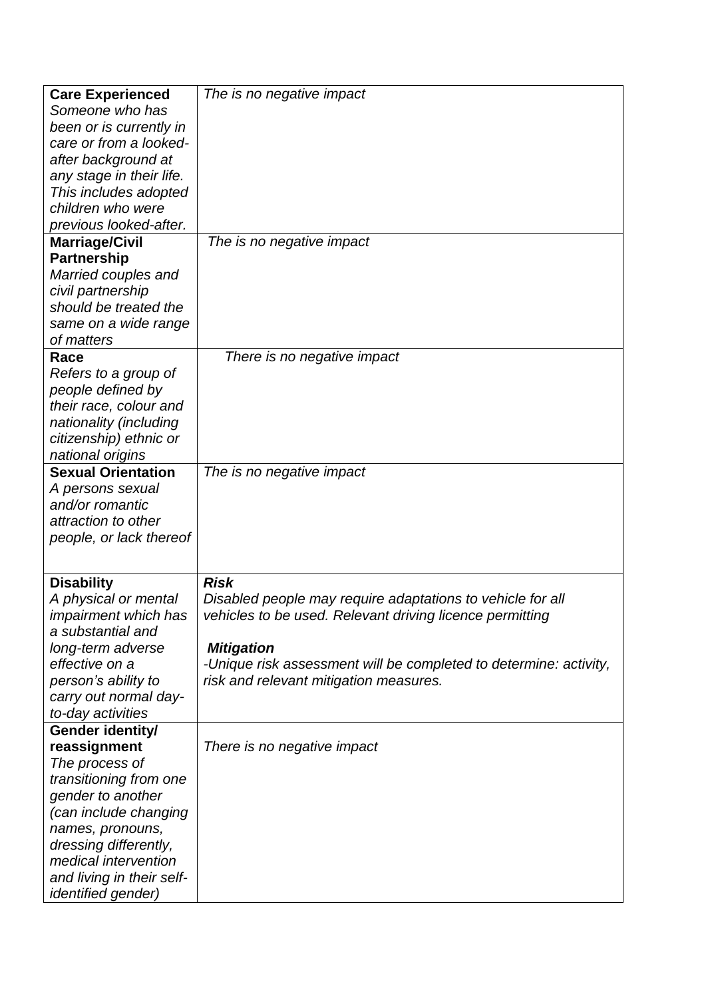| <b>Care Experienced</b>   | The is no negative impact                                         |
|---------------------------|-------------------------------------------------------------------|
| Someone who has           |                                                                   |
| been or is currently in   |                                                                   |
| care or from a looked-    |                                                                   |
| after background at       |                                                                   |
| any stage in their life.  |                                                                   |
| This includes adopted     |                                                                   |
| children who were         |                                                                   |
| previous looked-after.    |                                                                   |
| <b>Marriage/Civil</b>     | The is no negative impact                                         |
| <b>Partnership</b>        |                                                                   |
| Married couples and       |                                                                   |
| civil partnership         |                                                                   |
| should be treated the     |                                                                   |
| same on a wide range      |                                                                   |
| of matters                |                                                                   |
| Race                      | There is no negative impact                                       |
| Refers to a group of      |                                                                   |
| people defined by         |                                                                   |
| their race, colour and    |                                                                   |
| nationality (including    |                                                                   |
| citizenship) ethnic or    |                                                                   |
| national origins          |                                                                   |
| <b>Sexual Orientation</b> | The is no negative impact                                         |
| A persons sexual          |                                                                   |
| and/or romantic           |                                                                   |
| attraction to other       |                                                                   |
| people, or lack thereof   |                                                                   |
|                           |                                                                   |
| <b>Disability</b>         | <b>Risk</b>                                                       |
| A physical or mental      | Disabled people may require adaptations to vehicle for all        |
| impairment which has      | vehicles to be used. Relevant driving licence permitting          |
| a substantial and         |                                                                   |
| long-term adverse         | <b>Mitigation</b>                                                 |
| effective on a            | -Unique risk assessment will be completed to determine: activity, |
| person's ability to       | risk and relevant mitigation measures.                            |
| carry out normal day-     |                                                                   |
| to-day activities         |                                                                   |
| Gender identity/          |                                                                   |
| reassignment              | There is no negative impact                                       |
| The process of            |                                                                   |
| transitioning from one    |                                                                   |
| gender to another         |                                                                   |
| (can include changing     |                                                                   |
| names, pronouns,          |                                                                   |
| dressing differently,     |                                                                   |
| medical intervention      |                                                                   |
| and living in their self- |                                                                   |
| <i>identified gender)</i> |                                                                   |